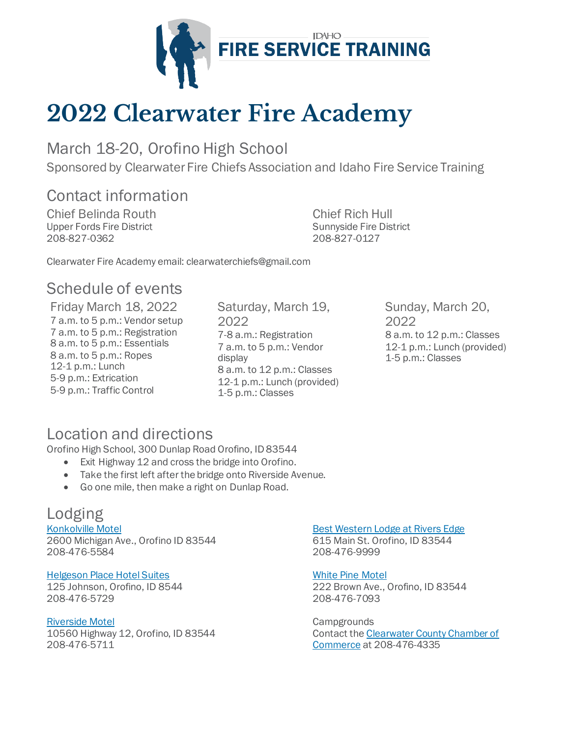

# **2022 Clearwater Fire Academy**

March 18-20, Orofino High School

Sponsored by Clearwater Fire Chiefs Association and Idaho Fire Service Training

## Contact information

Chief Belinda Routh Upper Fords Fire District 208-827-0362

Chief Rich Hull Sunnyside Fire District 208-827-0127

Clearwater Fire Academy email: clearwaterchiefs@gmail.com

## Schedule of events

Friday March 18, 2022 7 a.m. to 5 p.m.: Vendor setup 7 a.m. to 5 p.m.: Registration 8 a.m. to 5 p.m.: Essentials 8 a.m. to 5 p.m.: Ropes 12-1 p.m.: Lunch 5-9 p.m.: Extrication 5-9 p.m.: Traffic Control

Saturday, March 19, 2022 7-8 a.m.: Registration 7 a.m. to 5 p.m.: Vendor display 8 a.m. to 12 p.m.: Classes 12-1 p.m.: Lunch (provided) 1-5 p.m.: Classes

Sunday, March 20, 2022 8 a.m. to 12 p.m.: Classes 12-1 p.m.: Lunch (provided) 1-5 p.m.: Classes

## Location and directions

Orofino High School, 300 Dunlap Road Orofino, ID 83544

- Exit Highway 12 and cross the bridge into Orofino.
- Take the first left after the bridge onto Riverside Avenue.
- Go one mile, then make a right on Dunlap Road.

## Lodging

[Konkolville Motel](https://www.konkolvillemotel.com/) 2600 Michigan Ave., Orofino ID 83544 208-476-5584

### [Helgeson Place Hotel Suites](https://www.helgesonhotel.com/)

125 Johnson, Orofino, ID 8544 208-476-5729

### [Riverside Motel](https://www.theriversidemotel.com/)

10560 Highway 12, Orofino, ID 83544 208-476-5711

#### Best Western [Lodge at Rivers Edge](https://www.bestwestern.com/en_US/book/hotel-rooms.32098.html?iata=00170260&ssob=PSPBM0304G&cid=PSPBM0304G:google:Conversion_National_X_US_Google_BW_BW_BR_PO_Exact_En_United-States_New-Mexico:best%20western%20rivers%20edge&gclid=Cj0KCQiAuvOPBhDXARIsAKzLQ8E6DghhK2HQCeYEd3nuZkndSiYRnjtzjw1RlZCcyrWQAk-T5X2xNNMaAnXzEALw_wcB&gclsrc=aw.ds)

615 Main St. Orofino, ID 83544 208-476-9999

#### [White Pine Motel](https://whitepinemotel.com/)

222 Brown Ave., Orofino, ID 83544 208-476-7093

**Campgrounds** Contact the Clearwater County Chamber of Commerce at 208-476-4335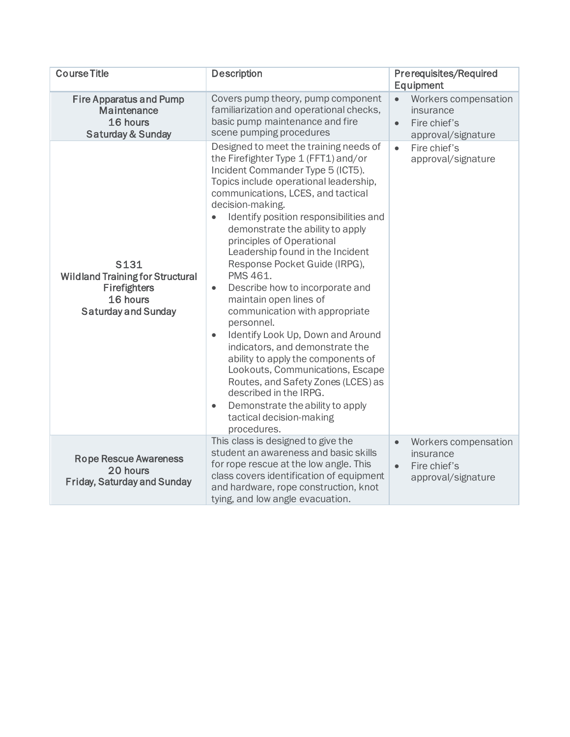| <b>Course Title</b>                                                                                              | <b>Description</b>                                                                                                                                                                                                                                                                                                                                                                                                                                                                                                                                                                                                                                                                                                                                                                                                                                                                    | <b>Prerequisites/Required</b><br>Equipment                                                        |  |
|------------------------------------------------------------------------------------------------------------------|---------------------------------------------------------------------------------------------------------------------------------------------------------------------------------------------------------------------------------------------------------------------------------------------------------------------------------------------------------------------------------------------------------------------------------------------------------------------------------------------------------------------------------------------------------------------------------------------------------------------------------------------------------------------------------------------------------------------------------------------------------------------------------------------------------------------------------------------------------------------------------------|---------------------------------------------------------------------------------------------------|--|
| <b>Fire Apparatus and Pump</b><br>Maintenance<br>16 hours<br><b>Saturday &amp; Sunday</b>                        | Covers pump theory, pump component<br>familiarization and operational checks,<br>basic pump maintenance and fire<br>scene pumping procedures                                                                                                                                                                                                                                                                                                                                                                                                                                                                                                                                                                                                                                                                                                                                          | Workers compensation<br>$\bullet$<br>insurance<br>Fire chief's<br>$\bullet$<br>approval/signature |  |
| <b>S131</b><br><b>Wildland Training for Structural</b><br>Firefighters<br>16 hours<br><b>Saturday and Sunday</b> | Designed to meet the training needs of<br>the Firefighter Type 1 (FFT1) and/or<br>Incident Commander Type 5 (ICT5).<br>Topics include operational leadership,<br>communications, LCES, and tactical<br>decision-making.<br>Identify position responsibilities and<br>$\bullet$<br>demonstrate the ability to apply<br>principles of Operational<br>Leadership found in the Incident<br>Response Pocket Guide (IRPG),<br>PMS 461.<br>Describe how to incorporate and<br>$\bullet$<br>maintain open lines of<br>communication with appropriate<br>personnel.<br>Identify Look Up, Down and Around<br>$\bullet$<br>indicators, and demonstrate the<br>ability to apply the components of<br>Lookouts, Communications, Escape<br>Routes, and Safety Zones (LCES) as<br>described in the IRPG.<br>Demonstrate the ability to apply<br>$\bullet$<br>tactical decision-making<br>procedures. | Fire chief's<br>$\bullet$<br>approval/signature                                                   |  |
| <b>Rope Rescue Awareness</b><br>20 hours<br><b>Friday, Saturday and Sunday</b>                                   | This class is designed to give the<br>student an awareness and basic skills<br>for rope rescue at the low angle. This<br>class covers identification of equipment<br>and hardware, rope construction, knot<br>tying, and low angle evacuation.                                                                                                                                                                                                                                                                                                                                                                                                                                                                                                                                                                                                                                        | Workers compensation<br>$\bullet$<br>insurance<br>Fire chief's<br>$\bullet$<br>approval/signature |  |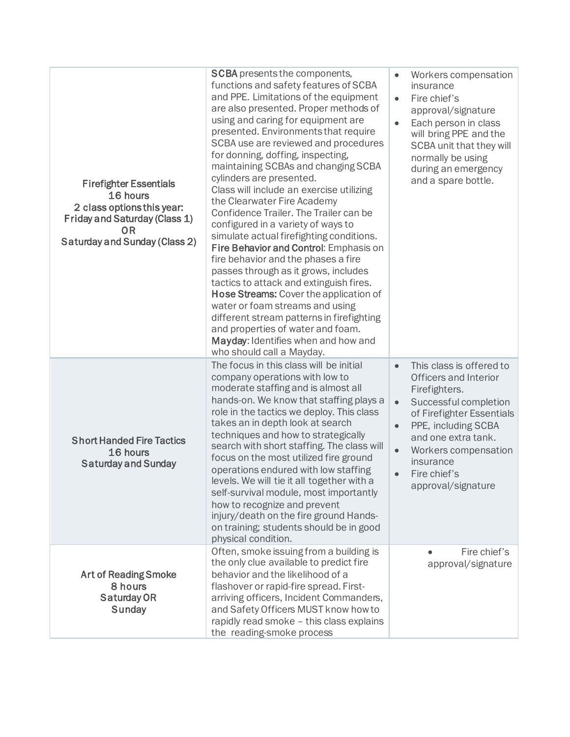| <b>Firefighter Essentials</b><br>16 hours<br>2 class options this year:<br>Friday and Saturday (Class 1)<br>0 <sub>R</sub><br><b>Saturday and Sunday (Class 2)</b> | <b>SCBA</b> presents the components,<br>functions and safety features of SCBA<br>and PPE. Limitations of the equipment<br>are also presented. Proper methods of<br>using and caring for equipment are<br>presented. Environments that require<br>SCBA use are reviewed and procedures<br>for donning, doffing, inspecting,<br>maintaining SCBAs and changing SCBA<br>cylinders are presented.<br>Class will include an exercise utilizing<br>the Clearwater Fire Academy<br>Confidence Trailer. The Trailer can be<br>configured in a variety of ways to<br>simulate actual firefighting conditions.<br>Fire Behavior and Control: Emphasis on<br>fire behavior and the phases a fire<br>passes through as it grows, includes<br>tactics to attack and extinguish fires.<br>Hose Streams: Cover the application of<br>water or foam streams and using<br>different stream patterns in firefighting<br>and properties of water and foam.<br>Mayday: Identifies when and how and<br>who should call a Mayday. | Workers compensation<br>$\bullet$<br>insurance<br>Fire chief's<br>$\bullet$<br>approval/signature<br>Each person in class<br>$\bullet$<br>will bring PPE and the<br>SCBA unit that they will<br>normally be using<br>during an emergency<br>and a spare bottle.                                                    |
|--------------------------------------------------------------------------------------------------------------------------------------------------------------------|-------------------------------------------------------------------------------------------------------------------------------------------------------------------------------------------------------------------------------------------------------------------------------------------------------------------------------------------------------------------------------------------------------------------------------------------------------------------------------------------------------------------------------------------------------------------------------------------------------------------------------------------------------------------------------------------------------------------------------------------------------------------------------------------------------------------------------------------------------------------------------------------------------------------------------------------------------------------------------------------------------------|--------------------------------------------------------------------------------------------------------------------------------------------------------------------------------------------------------------------------------------------------------------------------------------------------------------------|
| <b>Short Handed Fire Tactics</b><br>16 hours<br><b>Saturday and Sunday</b>                                                                                         | The focus in this class will be initial<br>company operations with low to<br>moderate staffing and is almost all<br>hands-on. We know that staffing plays a<br>role in the tactics we deploy. This class<br>takes an in depth look at search<br>techniques and how to strategically<br>search with short staffing. The class will<br>focus on the most utilized fire ground<br>operations endured with low staffing<br>levels. We will tie it all together with a<br>self-survival module, most importantly<br>how to recognize and prevent<br>injury/death on the fire ground Hands-<br>on training; students should be in good<br>physical condition.                                                                                                                                                                                                                                                                                                                                                     | This class is offered to<br>$\bullet$<br>Officers and Interior<br>Firefighters.<br>Successful completion<br>$\bullet$<br>of Firefighter Essentials<br>PPE, including SCBA<br>$\bullet$<br>and one extra tank.<br>Workers compensation<br>$\bullet$<br>insurance<br>Fire chief's<br>$\bullet$<br>approval/signature |
| <b>Art of Reading Smoke</b><br>8 hours<br><b>Saturday OR</b><br><b>Sunday</b>                                                                                      | Often, smoke issuing from a building is<br>the only clue available to predict fire<br>behavior and the likelihood of a<br>flashover or rapid-fire spread. First-<br>arriving officers, Incident Commanders,<br>and Safety Officers MUST know how to<br>rapidly read smoke - this class explains<br>the reading-smoke process                                                                                                                                                                                                                                                                                                                                                                                                                                                                                                                                                                                                                                                                                | Fire chief's<br>approval/signature                                                                                                                                                                                                                                                                                 |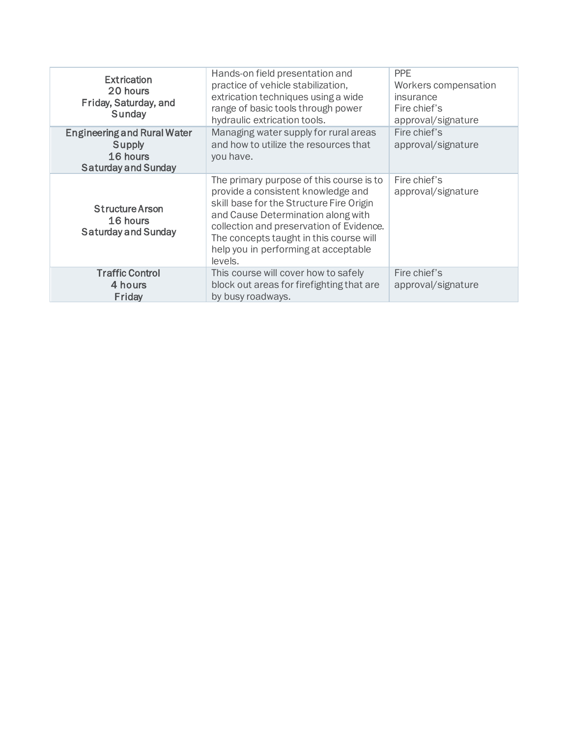| <b>Extrication</b><br>20 hours<br>Friday, Saturday, and<br>Sunday                      | Hands-on field presentation and<br>practice of vehicle stabilization,<br>extrication techniques using a wide<br>range of basic tools through power<br>hydraulic extrication tools.                                                                                                                         | <b>PPE</b><br>Workers compensation<br>insurance<br>Fire chief's<br>approval/signature |
|----------------------------------------------------------------------------------------|------------------------------------------------------------------------------------------------------------------------------------------------------------------------------------------------------------------------------------------------------------------------------------------------------------|---------------------------------------------------------------------------------------|
| <b>Engineering and Rural Water</b><br>Supply<br>16 hours<br><b>Saturday and Sunday</b> | Managing water supply for rural areas<br>and how to utilize the resources that<br>you have.                                                                                                                                                                                                                | Fire chief's<br>approval/signature                                                    |
| <b>Structure Arson</b><br>16 hours<br><b>Saturday and Sunday</b>                       | The primary purpose of this course is to<br>provide a consistent knowledge and<br>skill base for the Structure Fire Origin<br>and Cause Determination along with<br>collection and preservation of Evidence.<br>The concepts taught in this course will<br>help you in performing at acceptable<br>levels. | Fire chief's<br>approval/signature                                                    |
| <b>Traffic Control</b><br>4 hours<br>Friday                                            | This course will cover how to safely<br>block out areas for firefighting that are<br>by busy roadways.                                                                                                                                                                                                     | Fire chief's<br>approval/signature                                                    |